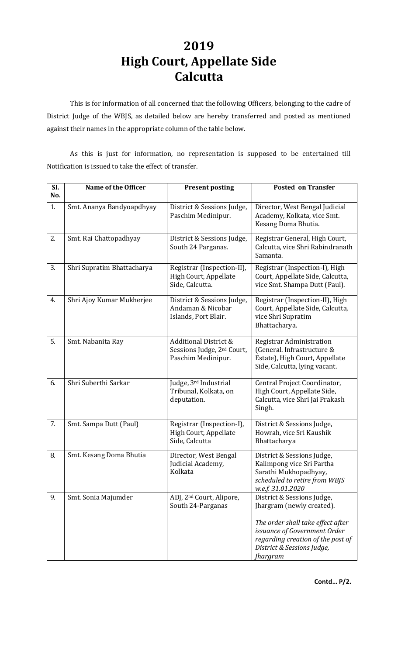## **2019 High Court, Appellate Side Calcutta**

This is for information of all concerned that the following Officers, belonging to the cadre of District Judge of the WBJS, as detailed below are hereby transferred and posted as mentioned against their names in the appropriate column of the table below.

As this is just for information, no representation is supposed to be entertained till Notification is issued to take the effect of transfer.

| Sl.<br>No. | Name of the Officer        | <b>Present posting</b>                                                                           | <b>Posted on Transfer</b>                                                                                                                                                                                   |
|------------|----------------------------|--------------------------------------------------------------------------------------------------|-------------------------------------------------------------------------------------------------------------------------------------------------------------------------------------------------------------|
| 1.         | Smt. Ananya Bandyoapdhyay  | District & Sessions Judge,<br>Paschim Medinipur.                                                 | Director, West Bengal Judicial<br>Academy, Kolkata, vice Smt.<br>Kesang Doma Bhutia.                                                                                                                        |
| 2.         | Smt. Rai Chattopadhyay     | District & Sessions Judge,<br>South 24 Parganas.                                                 | Registrar General, High Court,<br>Calcutta, vice Shri Rabindranath<br>Samanta.                                                                                                                              |
| 3.         | Shri Supratim Bhattacharya | Registrar (Inspection-II),<br>High Court, Appellate<br>Side, Calcutta.                           | Registrar (Inspection-I), High<br>Court, Appellate Side, Calcutta,<br>vice Smt. Shampa Dutt (Paul).                                                                                                         |
| 4.         | Shri Ajoy Kumar Mukherjee  | District & Sessions Judge,<br>Andaman & Nicobar<br>Islands, Port Blair.                          | Registrar (Inspection-II), High<br>Court, Appellate Side, Calcutta,<br>vice Shri Supratim<br>Bhattacharya.                                                                                                  |
| 5.         | Smt. Nabanita Ray          | <b>Additional District &amp;</b><br>Sessions Judge, 2 <sup>nd</sup> Court,<br>Paschim Medinipur. | Registrar Administration<br>(General. Infrastructure &<br>Estate), High Court, Appellate<br>Side, Calcutta, lying vacant.                                                                                   |
| 6.         | Shri Suberthi Sarkar       | Judge, 3rd Industrial<br>Tribunal, Kolkata, on<br>deputation.                                    | Central Project Coordinator,<br>High Court, Appellate Side,<br>Calcutta, vice Shri Jai Prakash<br>Singh.                                                                                                    |
| 7.         | Smt. Sampa Dutt (Paul)     | Registrar (Inspection-I),<br>High Court, Appellate<br>Side, Calcutta                             | District & Sessions Judge,<br>Howrah, vice Sri Kaushik<br>Bhattacharya                                                                                                                                      |
| 8.         | Smt. Kesang Doma Bhutia    | Director, West Bengal<br>Judicial Academy,<br>Kolkata                                            | District & Sessions Judge,<br>Kalimpong vice Sri Partha<br>Sarathi Mukhopadhyay,<br>scheduled to retire from WBJS<br>w.e.f. 31.01.2020                                                                      |
| 9.         | Smt. Sonia Majumder        | ADJ, 2 <sup>nd</sup> Court, Alipore,<br>South 24-Parganas                                        | District & Sessions Judge,<br>Jhargram (newly created).<br>The order shall take effect after<br>issuance of Government Order<br>regarding creation of the post of<br>District & Sessions Judge,<br>Jhargram |